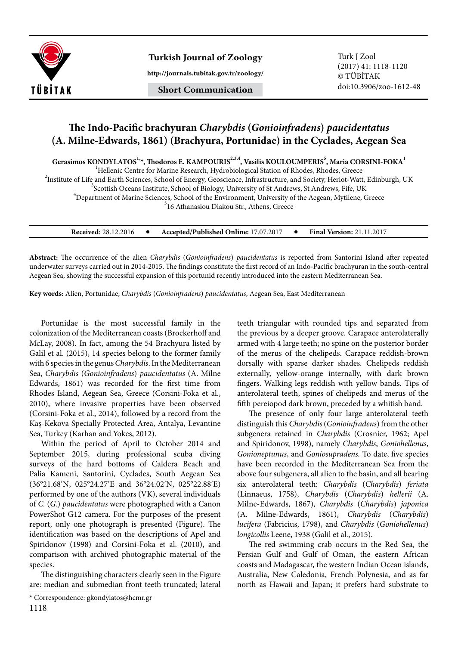

**Turkish Journal of Zoology** Turk J Zool

**http://journals.tubitak.gov.tr/zoology/**

## **Short Communication**

## **The Indo-Pacific brachyuran** *Charybdis* **(***Gonioinfradens***)** *paucidentatus* **(A. Milne-Edwards, 1861) (Brachyura, Portunidae) in the Cyclades, Aegean Sea**

 $\rm{Gerasimos~KONDYLATOS}^{1.}$ , Thodoros E. KAMPOURIS $^{2.3,4}$ , Vasilis KOULOUMPERIS $^{5}$ , Maria CORSINI-FOKA $^{1}$ 

<sup>1</sup>Hellenic Centre for Marine Research, Hydrobiological Station of Rhodes, Rhodes, Greece <sup>2</sup><br><sup>2</sup>Institute of Life and Earth Sciences, School of Fragmy, Googeignes, Infrastructure, and Society, Herict Wett

<sup>2</sup>Institute of Life and Earth Sciences, School of Energy, Geoscience, Infrastructure, and Society, Heriot-Watt, Edinburgh, UK

<sup>3</sup>Scottish Oceans Institute, School of Biology, University of St Andrews, St Andrews, Fife, UK

<sup>4</sup>Department of Marine Sciences, School of the Environment, University of the Aegean, Mytilene, Greece

<sup>5</sup>16 Athanasiou Diakou Str., Athens, Greece

| <b>Received: 28.12.2016</b> |  | Accepted/Published Online: 17.07.2017 |  | <b>Final Version: 21.11.2017</b> |
|-----------------------------|--|---------------------------------------|--|----------------------------------|
|-----------------------------|--|---------------------------------------|--|----------------------------------|

**Abstract:** The occurrence of the alien *Charybdis* (*Gonioinfradens*) *paucidentatus* is reported from Santorini Island after repeated underwater surveys carried out in 2014-2015. The findings constitute the first record of an Indo-Pacific brachyuran in the south-central Aegean Sea, showing the successful expansion of this portunid recently introduced into the eastern Mediterranean Sea.

**Key words:** Alien, Portunidae, *Charybdis* (*Gonioinfradens*) *paucidentatus*, Aegean Sea, East Mediterranean

Portunidae is the most successful family in the colonization of the Mediterranean coasts (Brockerhoff and McLay, 2008). In fact, among the 54 Brachyura listed by Galil et al. (2015), 14 species belong to the former family with 6 species in the genus *Charybdis*. In the Mediterranean Sea, *Charybdis* (*Gonioinfradens*) *paucidentatus* (A. Milne Edwards, 1861) was recorded for the first time from Rhodes Island, Aegean Sea, Greece (Corsini-Foka et al., 2010), where invasive properties have been observed (Corsini-Foka et al., 2014), followed by a record from the Kaş-Kekova Specially Protected Area, Antalya, Levantine Sea, Turkey (Karhan and Yokes, 2012).

Within the period of April to October 2014 and September 2015, during professional scuba diving surveys of the hard bottoms of Caldera Beach and Palia Kameni, Santorini, Cyclades, South Aegean Sea (36°21.68′N, 025°24.27′E and 36°24.02′N, 025°22.88′E) performed by one of the authors (VK), several individuals of *C.* (*G.*) *paucidentatus* were photographed with a Canon PowerShot G12 camera. For the purposes of the present report, only one photograph is presented (Figure). The identification was based on the descriptions of Apel and Spiridonov (1998) and Corsini-Foka et al. (2010), and comparison with archived photographic material of the species.

The distinguishing characters clearly seen in the Figure are: median and submedian front teeth truncated; lateral

teeth triangular with rounded tips and separated from the previous by a deeper groove. Carapace anterolaterally armed with 4 large teeth; no spine on the posterior border of the merus of the chelipeds. Carapace reddish-brown dorsally with sparse darker shades. Chelipeds reddish externally, yellow-orange internally, with dark brown fingers. Walking legs reddish with yellow bands. Tips of anterolateral teeth, spines of chelipeds and merus of the fifth pereiopod dark brown, preceded by a whitish band.

The presence of only four large anterolateral teeth distinguish this *Charybdis* (*Gonioinfradens*) from the other subgenera retained in *Charybdis* (Crosnier, 1962; Apel and Spiridonov, 1998), namely *Charybdis*, *Goniohellenus*, *Gonioneptunus*, and *Goniosupradens.* To date, five species have been recorded in the Mediterranean Sea from the above four subgenera, all alien to the basin, and all bearing six anterolateral teeth: *Charybdis* (*Charybdis*) *feriata* (Linnaeus, 1758), *Charybdis* (*Charybdis*) *hellerii* (A. Milne-Edwards, 1867), *Charybdis* (*Charybdis*) *japonica* (A. Milne-Edwards, 1861), *Charybdis* (*Charybdis*) *lucifera* (Fabricius, 1798), and *Charybdis* (*Goniohellenus*) *longicollis* Leene, 1938 (Galil et al., 2015).

The red swimming crab occurs in the Red Sea, the Persian Gulf and Gulf of Oman, the eastern African coasts and Madagascar, the western Indian Ocean islands, Australia, New Caledonia, French Polynesia, and as far north as Hawaii and Japan; it prefers hard substrate to

<sup>\*</sup> Correspondence: gkondylatos@hcmr.gr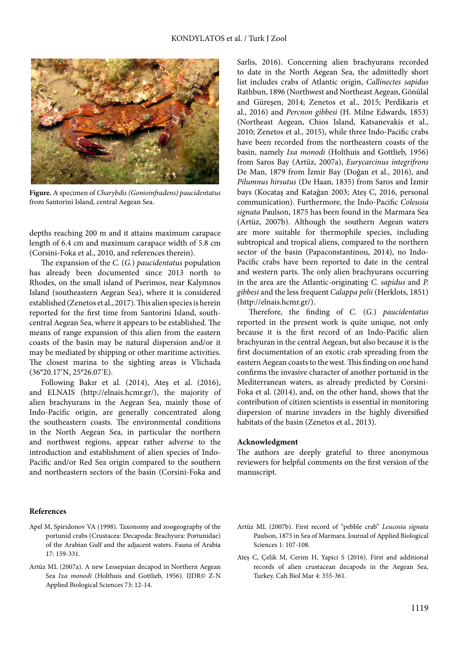

**Figure.** A specimen of *Charybdis (Gonioinfradens) paucidentatus*  from Santorini Island, central Aegean Sea.

depths reaching 200 m and it attains maximum carapace length of 6.4 cm and maximum carapace width of 5.8 cm (Corsini-Foka et al., 2010, and references therein).

The expansion of the *C.* (*G.*) *paucidentatus* population has already been documented since 2013 north to Rhodes, on the small island of Pserimos, near Kalymnos Island (southeastern Aegean Sea), where it is considered established (Zenetos et al., 2017). This alien species is herein reported for the first time from Santorini Island, southcentral Aegean Sea, where it appears to be established. The means of range expansion of this alien from the eastern coasts of the basin may be natural dispersion and/or it may be mediated by shipping or other maritime activities. The closest marina to the sighting areas is Vlichada (36°20.17′N, 25°26.07′E).

Following Bakır et al. (2014), Ateş et al. (2016), and ELNAIS (http://elnais.hcmr.gr/), the majority of alien brachyurans in the Aegean Sea, mainly those of Indo-Pacific origin, are generally concentrated along the southeastern coasts. The environmental conditions in the North Aegean Sea, in particular the northern and northwest regions, appear rather adverse to the introduction and establishment of alien species of Indo-Pacific and/or Red Sea origin compared to the southern and northeastern sectors of the basin (Corsini-Foka and

Sarlis, 2016). Concerning alien brachyurans recorded to date in the North Aegean Sea, the admittedly short list includes crabs of Atlantic origin, *Callinectes sapidus* Rathbun, 1896 (Northwest and Northeast Aegean, Gönülal and Güreşen, 2014; Zenetos et al., 2015; Perdikaris et al., 2016) and *Percnon gibbesi* (H. Milne Edwards, 1853) (Northeast Aegean, Chios Island, Katsanevakis et al., 2010; Zenetos et al., 2015), while three Indo-Pacific crabs have been recorded from the northeastern coasts of the basin, namely *Ixa monodi* (Holthuis and Gottlieb, 1956) from Saros Bay (Artüz, 2007a), *Eurycarcinus integrifrons*  De Man, 1879 from İzmir Bay (Doğan et al., 2016), and *Pilumnus hirsutus* (De Haan, 1835) from Saros and İzmir bays (Kocataş and Katağan 2003; Ateş C, 2016, personal communication). Furthermore, the Indo-Pacific *Coleusia signata* Paulson, 1875 has been found in the Marmara Sea (Artüz, 2007b). Although the southern Aegean waters are more suitable for thermophile species, including subtropical and tropical aliens, compared to the northern sector of the basin (Papaconstantinou, 2014), no Indo-Pacific crabs have been reported to date in the central and western parts. The only alien brachyurans occurring in the area are the Atlantic-originating *C. sapidus* and *P. gibbesi* and the less frequent *Calappa pelii* (Herklots, 1851) (http://elnais.hcmr.gr/).

Therefore, the finding of *C.* (*G.*) *paucidentatus* reported in the present work is quite unique, not only because it is the first record of an Indo-Pacific alien brachyuran in the central Aegean, but also because it is the first documentation of an exotic crab spreading from the eastern Aegean coasts to the west. This finding on one hand confirms the invasive character of another portunid in the Mediterranean waters, as already predicted by Corsini-Foka et al. (2014), and, on the other hand, shows that the contribution of citizen scientists is essential in monitoring dispersion of marine invaders in the highly diversified habitats of the basin (Zenetos et al., 2013).

## **Acknowledgment**

The authors are deeply grateful to three anonymous reviewers for helpful comments on the first version of the manuscript.

## **References**

- Apel M, Spiridonov VA (1998). Taxonomy and zoogeography of the portunid crabs (Crustacea: Decapoda: Brachyura: Portunidae) of the Arabian Gulf and the adjacent waters. Fauna of Arabia 17: 159-331.
- Artüz ML (2007a). A new Lessepsian decapod in Northern Aegean Sea *Ixa monodi* (Holthuis and Gottlieb, 1956). IJDR© Z-N Applied Biological Sciences 73: 12-14.
- Artüz ML (2007b). First record of "pebble crab" *Leucosia signata*  Paulson, 1875 in Sea of Marmara. Journal of Applied Biological Sciences 1: 107-108.
- Ateş C, Çelik M, Cerim H, Yapici S (2016). First and additional records of alien crustacean decapods in the Aegean Sea, Turkey. Cah Biol Mar 4: 355-361.